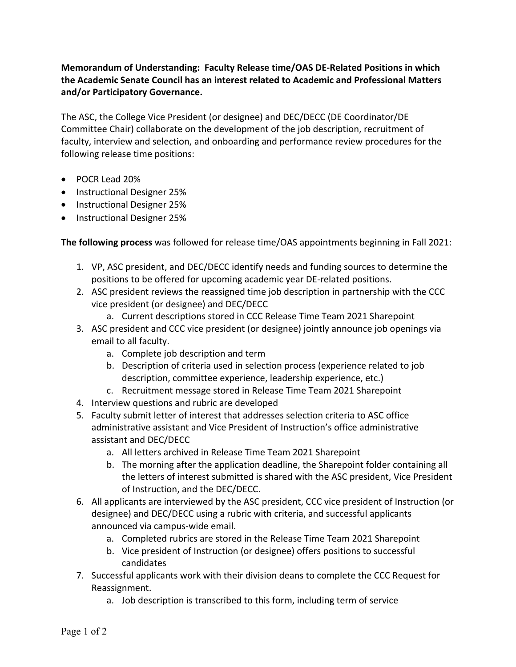## **Memorandum of Understanding: Faculty Release time/OAS DE-Related Positions in which the Academic Senate Council has an interest related to Academic and Professional Matters and/or Participatory Governance.**

The ASC, the College Vice President (or designee) and DEC/DECC (DE Coordinator/DE Committee Chair) collaborate on the development of the job description, recruitment of faculty, interview and selection, and onboarding and performance review procedures for the following release time positions:

- POCR Lead 20%
- Instructional Designer 25%
- Instructional Designer 25%
- Instructional Designer 25%

**The following process** was followed for release time/OAS appointments beginning in Fall 2021:

- 1. VP, ASC president, and DEC/DECC identify needs and funding sources to determine the positions to be offered for upcoming academic year DE-related positions.
- 2. ASC president reviews the reassigned time job description in partnership with the CCC vice president (or designee) and DEC/DECC
	- a. Current descriptions stored in CCC Release Time Team 2021 Sharepoint
- 3. ASC president and CCC vice president (or designee) jointly announce job openings via email to all faculty.
	- a. Complete job description and term
	- b. Description of criteria used in selection process (experience related to job description, committee experience, leadership experience, etc.)
	- c. Recruitment message stored in Release Time Team 2021 Sharepoint
- 4. Interview questions and rubric are developed
- 5. Faculty submit letter of interest that addresses selection criteria to ASC office administrative assistant and Vice President of Instruction's office administrative assistant and DEC/DECC
	- a. All letters archived in Release Time Team 2021 Sharepoint
	- b. The morning after the application deadline, the Sharepoint folder containing all the letters of interest submitted is shared with the ASC president, Vice President of Instruction, and the DEC/DECC.
- 6. All applicants are interviewed by the ASC president, CCC vice president of Instruction (or designee) and DEC/DECC using a rubric with criteria, and successful applicants announced via campus-wide email.
	- a. Completed rubrics are stored in the Release Time Team 2021 Sharepoint
	- b. Vice president of Instruction (or designee) offers positions to successful candidates
- 7. Successful applicants work with their division deans to complete the CCC Request for Reassignment.
	- a. Job description is transcribed to this form, including term of service